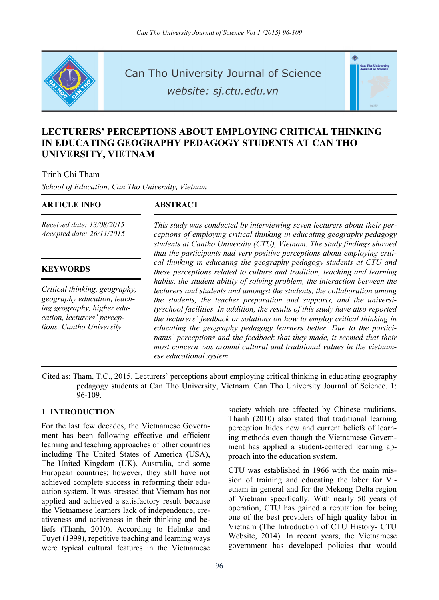

Can Tho University Journal of Science

website: sj.ctu.edu.vn

# .<br>Can Tho Univers<br>Journal of Scien

# **LECTURERS' PERCEPTIONS ABOUT EMPLOYING CRITICAL THINKING IN EDUCATING GEOGRAPHY PEDAGOGY STUDENTS AT CAN THO UNIVERSITY, VIETNAM**

#### Trinh Chi Tham

*School of Education, Can Tho University, Vietnam* 

#### **ARTICLE INFO ABSTRACT**

*Received date: 13/08/2015 Accepted date: 26/11/2015*

#### **KEYWORDS**

*Critical thinking, geography, geography education, teaching geography, higher education, lecturers' perceptions, Cantho University* 

*This study was conducted by interviewing seven lecturers about their perceptions of employing critical thinking in educating geography pedagogy students at Cantho University (CTU), Vietnam. The study findings showed that the participants had very positive perceptions about employing critical thinking in educating the geography pedagogy students at CTU and these perceptions related to culture and tradition, teaching and learning habits, the student ability of solving problem, the interaction between the lecturers and students and amongst the students, the collaboration among the students, the teacher preparation and supports, and the university/school facilities. In addition, the results of this study have also reported the lecturers' feedback or solutions on how to employ critical thinking in educating the geography pedagogy learners better. Due to the participants' perceptions and the feedback that they made, it seemed that their most concern was around cultural and traditional values in the vietnamese educational system.* 

Cited as: Tham, T.C., 2015. Lecturers' perceptions about employing critical thinking in educating geography pedagogy students at Can Tho University, Vietnam. Can Tho University Journal of Science. 1: 96-109.

#### **1 INTRODUCTION**

For the last few decades, the Vietnamese Government has been following effective and efficient learning and teaching approaches of other countries including The United States of America (USA), The United Kingdom (UK), Australia, and some European countries; however, they still have not achieved complete success in reforming their education system. It was stressed that Vietnam has not applied and achieved a satisfactory result because the Vietnamese learners lack of independence, creativeness and activeness in their thinking and beliefs (Thanh, 2010). According to Helmke and Tuyet (1999), repetitive teaching and learning ways were typical cultural features in the Vietnamese

society which are affected by Chinese traditions. Thanh (2010) also stated that traditional learning perception hides new and current beliefs of learning methods even though the Vietnamese Government has applied a student-centered learning approach into the education system.

CTU was established in 1966 with the main mission of training and educating the labor for Vietnam in general and for the Mekong Delta region of Vietnam specifically. With nearly 50 years of operation, CTU has gained a reputation for being one of the best providers of high quality labor in Vietnam (The Introduction of CTU History- CTU Website, 2014). In recent years, the Vietnamese government has developed policies that would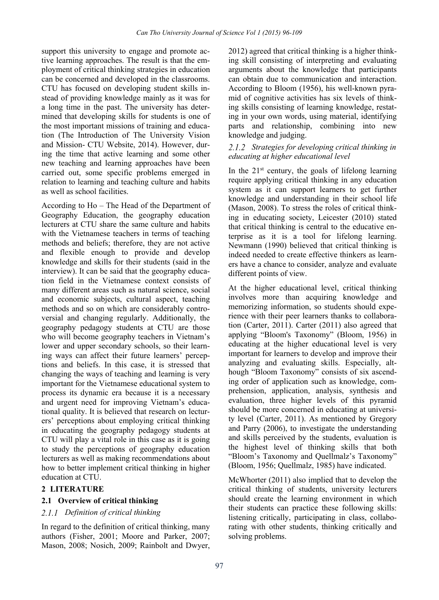support this university to engage and promote active learning approaches. The result is that the employment of critical thinking strategies in education can be concerned and developed in the classrooms. CTU has focused on developing student skills instead of providing knowledge mainly as it was for a long time in the past. The university has determined that developing skills for students is one of the most important missions of training and education (The Introduction of The University Vision and Mission- CTU Website, 2014). However, during the time that active learning and some other new teaching and learning approaches have been carried out, some specific problems emerged in relation to learning and teaching culture and habits as well as school facilities.

According to Ho – The Head of the Department of Geography Education, the geography education lecturers at CTU share the same culture and habits with the Vietnamese teachers in terms of teaching methods and beliefs; therefore, they are not active and flexible enough to provide and develop knowledge and skills for their students (said in the interview). It can be said that the geography education field in the Vietnamese context consists of many different areas such as natural science, social and economic subjects, cultural aspect, teaching methods and so on which are considerably controversial and changing regularly. Additionally, the geography pedagogy students at CTU are those who will become geography teachers in Vietnam's lower and upper secondary schools, so their learning ways can affect their future learners' perceptions and beliefs. In this case, it is stressed that changing the ways of teaching and learning is very important for the Vietnamese educational system to process its dynamic era because it is a necessary and urgent need for improving Vietnam's educational quality. It is believed that research on lecturers' perceptions about employing critical thinking in educating the geography pedagogy students at CTU will play a vital role in this case as it is going to study the perceptions of geography education lecturers as well as making recommendations about how to better implement critical thinking in higher education at CTU.

# **2 LITERATURE**

#### **2.1 Overview of critical thinking**

#### *Definition of critical thinking*

In regard to the definition of critical thinking, many authors (Fisher, 2001; Moore and Parker, 2007; Mason, 2008; Nosich, 2009; Rainbolt and Dwyer, 2012) agreed that critical thinking is a higher thinking skill consisting of interpreting and evaluating arguments about the knowledge that participants can obtain due to communication and interaction. According to Bloom (1956), his well-known pyramid of cognitive activities has six levels of thinking skills consisting of learning knowledge, restating in your own words, using material, identifying parts and relationship, combining into new knowledge and judging.

## *Strategies for developing critical thinking in educating at higher educational level*

In the  $21<sup>st</sup>$  century, the goals of lifelong learning require applying critical thinking in any education system as it can support learners to get further knowledge and understanding in their school life (Mason, 2008). To stress the roles of critical thinking in educating society, Leicester (2010) stated that critical thinking is central to the educative enterprise as it is a tool for lifelong learning. Newmann (1990) believed that critical thinking is indeed needed to create effective thinkers as learners have a chance to consider, analyze and evaluate different points of view.

At the higher educational level, critical thinking involves more than acquiring knowledge and memorizing information, so students should experience with their peer learners thanks to collaboration (Carter, 2011). Carter (2011) also agreed that applying "Bloom's Taxonomy" (Bloom, 1956) in educating at the higher educational level is very important for learners to develop and improve their analyzing and evaluating skills. Especially, although "Bloom Taxonomy" consists of six ascending order of application such as knowledge, comprehension, application, analysis, synthesis and evaluation, three higher levels of this pyramid should be more concerned in educating at university level (Carter, 2011). As mentioned by Gregory and Parry (2006), to investigate the understanding and skills perceived by the students, evaluation is the highest level of thinking skills that both "Bloom's Taxonomy and Quellmalz's Taxonomy" (Bloom, 1956; Quellmalz, 1985) have indicated.

McWhorter (2011) also implied that to develop the critical thinking of students, university lecturers should create the learning environment in which their students can practice these following skills: listening critically, participating in class, collaborating with other students, thinking critically and solving problems.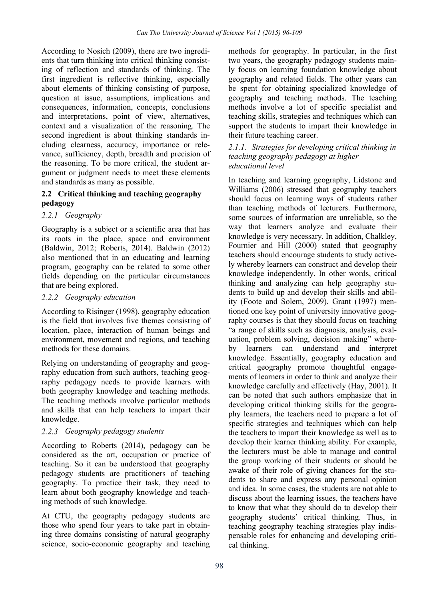According to Nosich (2009), there are two ingredients that turn thinking into critical thinking consisting of reflection and standards of thinking. The first ingredient is reflective thinking, especially about elements of thinking consisting of purpose, question at issue, assumptions, implications and consequences, information, concepts, conclusions and interpretations, point of view, alternatives, context and a visualization of the reasoning. The second ingredient is about thinking standards including clearness, accuracy, importance or relevance, sufficiency, depth, breadth and precision of the reasoning. To be more critical, the student argument or judgment needs to meet these elements and standards as many as possible.

# **2.2 Critical thinking and teaching geography pedagogy**

# *Geography*

Geography is a subject or a scientific area that has its roots in the place, space and environment (Baldwin, 2012; Roberts, 2014). Baldwin (2012) also mentioned that in an educating and learning program, geography can be related to some other fields depending on the particular circumstances that are being explored.

#### *Geography education*

According to Risinger (1998), geography education is the field that involves five themes consisting of location, place, interaction of human beings and environment, movement and regions, and teaching methods for these domains.

Relying on understanding of geography and geography education from such authors, teaching geography pedagogy needs to provide learners with both geography knowledge and teaching methods. The teaching methods involve particular methods and skills that can help teachers to impart their knowledge.

# *Geography pedagogy students*

According to Roberts (2014), pedagogy can be considered as the art, occupation or practice of teaching. So it can be understood that geography pedagogy students are practitioners of teaching geography. To practice their task, they need to learn about both geography knowledge and teaching methods of such knowledge.

At CTU, the geography pedagogy students are those who spend four years to take part in obtaining three domains consisting of natural geography science, socio-economic geography and teaching methods for geography. In particular, in the first two years, the geography pedagogy students mainly focus on learning foundation knowledge about geography and related fields. The other years can be spent for obtaining specialized knowledge of geography and teaching methods. The teaching methods involve a lot of specific specialist and teaching skills, strategies and techniques which can support the students to impart their knowledge in their future teaching career.

#### *2.1.1. Strategies for developing critical thinking in teaching geography pedagogy at higher educational level*

In teaching and learning geography, Lidstone and Williams (2006) stressed that geography teachers should focus on learning ways of students rather than teaching methods of lecturers. Furthermore, some sources of information are unreliable, so the way that learners analyze and evaluate their knowledge is very necessary. In addition, Chalkley, Fournier and Hill (2000) stated that geography teachers should encourage students to study actively whereby learners can construct and develop their knowledge independently. In other words, critical thinking and analyzing can help geography students to build up and develop their skills and ability (Foote and Solem, 2009). Grant (1997) mentioned one key point of university innovative geography courses is that they should focus on teaching "a range of skills such as diagnosis, analysis, evaluation, problem solving, decision making" whereby learners can understand and interpret knowledge. Essentially, geography education and critical geography promote thoughtful engagements of learners in order to think and analyze their knowledge carefully and effectively (Hay, 2001). It can be noted that such authors emphasize that in developing critical thinking skills for the geography learners, the teachers need to prepare a lot of specific strategies and techniques which can help the teachers to impart their knowledge as well as to develop their learner thinking ability. For example, the lecturers must be able to manage and control the group working of their students or should be awake of their role of giving chances for the students to share and express any personal opinion and idea. In some cases, the students are not able to discuss about the learning issues, the teachers have to know that what they should do to develop their geography students' critical thinking. Thus, in teaching geography teaching strategies play indispensable roles for enhancing and developing critical thinking.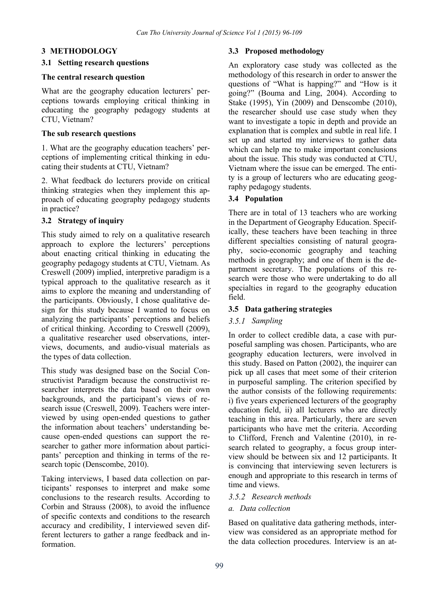#### **3 METHODOLOGY**

#### **3.1 Setting research questions**

#### **The central research question**

What are the geography education lecturers' perceptions towards employing critical thinking in educating the geography pedagogy students at CTU, Vietnam?

#### **The sub research questions**

1. What are the geography education teachers' perceptions of implementing critical thinking in educating their students at CTU, Vietnam?

2. What feedback do lecturers provide on critical thinking strategies when they implement this approach of educating geography pedagogy students in practice?

# **3.2 Strategy of inquiry**

This study aimed to rely on a qualitative research approach to explore the lecturers' perceptions about enacting critical thinking in educating the geography pedagogy students at CTU, Vietnam. As Creswell (2009) implied, interpretive paradigm is a typical approach to the qualitative research as it aims to explore the meaning and understanding of the participants. Obviously, I chose qualitative design for this study because I wanted to focus on analyzing the participants' perceptions and beliefs of critical thinking. According to Creswell (2009), a qualitative researcher used observations, interviews, documents, and audio-visual materials as the types of data collection.

This study was designed base on the Social Constructivist Paradigm because the constructivist researcher interprets the data based on their own backgrounds, and the participant's views of research issue (Creswell, 2009). Teachers were interviewed by using open-ended questions to gather the information about teachers' understanding because open-ended questions can support the researcher to gather more information about participants' perception and thinking in terms of the research topic (Denscombe, 2010).

Taking interviews, I based data collection on participants' responses to interpret and make some conclusions to the research results. According to Corbin and Strauss (2008), to avoid the influence of specific contexts and conditions to the research accuracy and credibility, I interviewed seven different lecturers to gather a range feedback and information.

#### **3.3 Proposed methodology**

An exploratory case study was collected as the methodology of this research in order to answer the questions of "What is happing?" and "How is it going?" (Bouma and Ling, 2004). According to Stake (1995), Yin (2009) and Denscombe (2010), the researcher should use case study when they want to investigate a topic in depth and provide an explanation that is complex and subtle in real life. I set up and started my interviews to gather data which can help me to make important conclusions about the issue. This study was conducted at CTU, Vietnam where the issue can be emerged. The entity is a group of lecturers who are educating geography pedagogy students.

#### **3.4 Population**

There are in total of 13 teachers who are working in the Department of Geography Education. Specifically, these teachers have been teaching in three different specialties consisting of natural geography, socio-economic geography and teaching methods in geography; and one of them is the department secretary. The populations of this research were those who were undertaking to do all specialties in regard to the geography education field.

#### **3.5 Data gathering strategies**

#### *Sampling*

In order to collect credible data, a case with purposeful sampling was chosen. Participants, who are geography education lecturers, were involved in this study. Based on Patton (2002), the inquirer can pick up all cases that meet some of their criterion in purposeful sampling. The criterion specified by the author consists of the following requirements: i) five years experienced lecturers of the geography education field, ii) all lecturers who are directly teaching in this area. Particularly, there are seven participants who have met the criteria. According to Clifford, French and Valentine (2010), in research related to geography, a focus group interview should be between six and 12 participants. It is convincing that interviewing seven lecturers is enough and appropriate to this research in terms of time and views.

#### *Research methods*

#### *a. Data collection*

Based on qualitative data gathering methods, interview was considered as an appropriate method for the data collection procedures. Interview is an at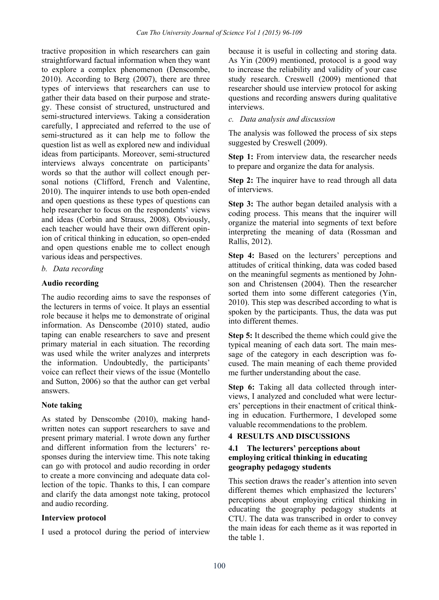tractive proposition in which researchers can gain straightforward factual information when they want to explore a complex phenomenon (Denscombe, 2010). According to Berg (2007), there are three types of interviews that researchers can use to gather their data based on their purpose and strategy. These consist of structured, unstructured and semi-structured interviews. Taking a consideration carefully, I appreciated and referred to the use of semi-structured as it can help me to follow the question list as well as explored new and individual ideas from participants. Moreover, semi-structured interviews always concentrate on participants' words so that the author will collect enough personal notions (Clifford, French and Valentine, 2010). The inquirer intends to use both open-ended and open questions as these types of questions can help researcher to focus on the respondents' views and ideas (Corbin and Strauss, 2008). Obviously, each teacher would have their own different opinion of critical thinking in education, so open-ended and open questions enable me to collect enough various ideas and perspectives.

#### *b. Data recording*

#### **Audio recording**

The audio recording aims to save the responses of the lecturers in terms of voice. It plays an essential role because it helps me to demonstrate of original information. As Denscombe (2010) stated, audio taping can enable researchers to save and present primary material in each situation. The recording was used while the writer analyzes and interprets the information. Undoubtedly, the participants' voice can reflect their views of the issue (Montello and Sutton, 2006) so that the author can get verbal answers.

#### **Note taking**

As stated by Denscombe (2010), making handwritten notes can support researchers to save and present primary material. I wrote down any further and different information from the lecturers' responses during the interview time. This note taking can go with protocol and audio recording in order to create a more convincing and adequate data collection of the topic. Thanks to this, I can compare and clarify the data amongst note taking, protocol and audio recording.

#### **Interview protocol**

I used a protocol during the period of interview

because it is useful in collecting and storing data. As Yin (2009) mentioned, protocol is a good way to increase the reliability and validity of your case study research. Creswell (2009) mentioned that researcher should use interview protocol for asking questions and recording answers during qualitative interviews.

#### *c. Data analysis and discussion*

The analysis was followed the process of six steps suggested by Creswell (2009).

**Step 1:** From interview data, the researcher needs to prepare and organize the data for analysis.

**Step 2:** The inquirer have to read through all data of interviews.

**Step 3:** The author began detailed analysis with a coding process. This means that the inquirer will organize the material into segments of text before interpreting the meaning of data (Rossman and Rallis, 2012).

**Step 4:** Based on the lecturers' perceptions and attitudes of critical thinking, data was coded based on the meaningful segments as mentioned by Johnson and Christensen (2004). Then the researcher sorted them into some different categories (Yin, 2010). This step was described according to what is spoken by the participants. Thus, the data was put into different themes.

**Step 5:** It described the theme which could give the typical meaning of each data sort. The main message of the category in each description was focused. The main meaning of each theme provided me further understanding about the case.

**Step 6:** Taking all data collected through interviews, I analyzed and concluded what were lecturers' perceptions in their enactment of critical thinking in education. Furthermore, I developed some valuable recommendations to the problem.

#### **4 RESULTS AND DISCUSSIONS**

#### **4.1 The lecturers' perceptions about employing critical thinking in educating geography pedagogy students**

This section draws the reader's attention into seven different themes which emphasized the lecturers' perceptions about employing critical thinking in educating the geography pedagogy students at CTU. The data was transcribed in order to convey the main ideas for each theme as it was reported in the table 1.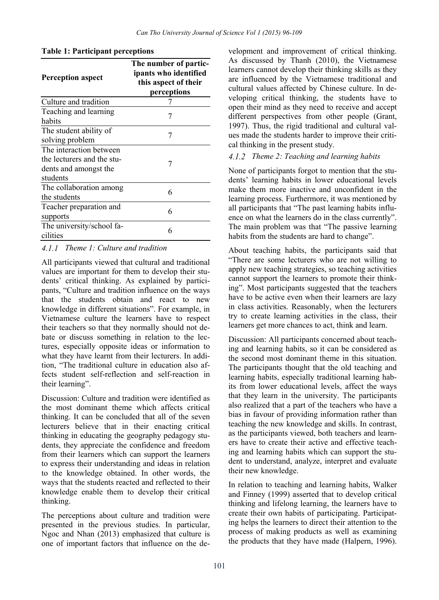| <b>Perception aspect</b>                                                                   | The number of partic-<br>ipants who identified<br>this aspect of their<br>perceptions |
|--------------------------------------------------------------------------------------------|---------------------------------------------------------------------------------------|
| Culture and tradition                                                                      |                                                                                       |
| Teaching and learning<br>habits                                                            | 7                                                                                     |
| The student ability of<br>solving problem                                                  | 7                                                                                     |
| The interaction between<br>the lecturers and the stu-<br>dents and amongst the<br>students | 7                                                                                     |
| The collaboration among<br>the students                                                    | 6                                                                                     |
| Teacher preparation and<br>supports                                                        | 6                                                                                     |
| The university/school fa-<br>cilities                                                      | 6                                                                                     |

**Table 1: Participant perceptions** 

#### *Theme 1: Culture and tradition*

All participants viewed that cultural and traditional values are important for them to develop their students' critical thinking. As explained by participants, "Culture and tradition influence on the ways that the students obtain and react to new knowledge in different situations". For example, in Vietnamese culture the learners have to respect their teachers so that they normally should not debate or discuss something in relation to the lectures, especially opposite ideas or information to what they have learnt from their lecturers. In addition, "The traditional culture in education also affects student self-reflection and self-reaction in their learning".

Discussion: Culture and tradition were identified as the most dominant theme which affects critical thinking. It can be concluded that all of the seven lecturers believe that in their enacting critical thinking in educating the geography pedagogy students, they appreciate the confidence and freedom from their learners which can support the learners to express their understanding and ideas in relation to the knowledge obtained. In other words, the ways that the students reacted and reflected to their knowledge enable them to develop their critical thinking.

The perceptions about culture and tradition were presented in the previous studies. In particular, Ngoc and Nhan (2013) emphasized that culture is one of important factors that influence on the development and improvement of critical thinking. As discussed by Thanh (2010), the Vietnamese learners cannot develop their thinking skills as they are influenced by the Vietnamese traditional and cultural values affected by Chinese culture. In developing critical thinking, the students have to open their mind as they need to receive and accept different perspectives from other people (Grant, 1997). Thus, the rigid traditional and cultural values made the students harder to improve their critical thinking in the present study.

#### *Theme 2: Teaching and learning habits*

None of participants forgot to mention that the students' learning habits in lower educational levels make them more inactive and unconfident in the learning process. Furthermore, it was mentioned by all participants that "The past learning habits influence on what the learners do in the class currently". The main problem was that "The passive learning habits from the students are hard to change".

About teaching habits, the participants said that "There are some lecturers who are not willing to apply new teaching strategies, so teaching activities cannot support the learners to promote their thinking". Most participants suggested that the teachers have to be active even when their learners are lazy in class activities. Reasonably, when the lecturers try to create learning activities in the class, their learners get more chances to act, think and learn.

Discussion: All participants concerned about teaching and learning habits, so it can be considered as the second most dominant theme in this situation. The participants thought that the old teaching and learning habits, especially traditional learning habits from lower educational levels, affect the ways that they learn in the university. The participants also realized that a part of the teachers who have a bias in favour of providing information rather than teaching the new knowledge and skills. In contrast, as the participants viewed, both teachers and learners have to create their active and effective teaching and learning habits which can support the student to understand, analyze, interpret and evaluate their new knowledge.

In relation to teaching and learning habits, Walker and Finney (1999) asserted that to develop critical thinking and lifelong learning, the learners have to create their own habits of participating. Participating helps the learners to direct their attention to the process of making products as well as examining the products that they have made (Halpern, 1996).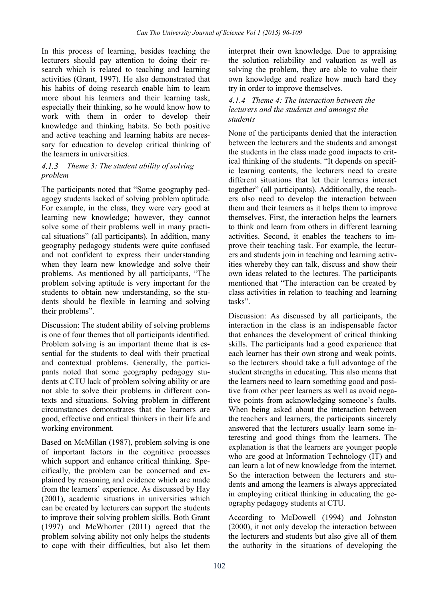In this process of learning, besides teaching the lecturers should pay attention to doing their research which is related to teaching and learning activities (Grant, 1997). He also demonstrated that his habits of doing research enable him to learn more about his learners and their learning task, especially their thinking, so he would know how to work with them in order to develop their knowledge and thinking habits. So both positive and active teaching and learning habits are necessary for education to develop critical thinking of the learners in universities.

#### *Theme 3: The student ability of solving problem*

The participants noted that "Some geography pedagogy students lacked of solving problem aptitude. For example, in the class, they were very good at learning new knowledge; however, they cannot solve some of their problems well in many practical situations" (all participants). In addition, many geography pedagogy students were quite confused and not confident to express their understanding when they learn new knowledge and solve their problems. As mentioned by all participants, "The problem solving aptitude is very important for the students to obtain new understanding, so the students should be flexible in learning and solving their problems".

Discussion: The student ability of solving problems is one of four themes that all participants identified. Problem solving is an important theme that is essential for the students to deal with their practical and contextual problems. Generally, the participants noted that some geography pedagogy students at CTU lack of problem solving ability or are not able to solve their problems in different contexts and situations. Solving problem in different circumstances demonstrates that the learners are good, effective and critical thinkers in their life and working environment.

Based on McMillan (1987), problem solving is one of important factors in the cognitive processes which support and enhance critical thinking. Specifically, the problem can be concerned and explained by reasoning and evidence which are made from the learners' experience. As discussed by Hay (2001), academic situations in universities which can be created by lecturers can support the students to improve their solving problem skills. Both Grant (1997) and McWhorter (2011) agreed that the problem solving ability not only helps the students to cope with their difficulties, but also let them

interpret their own knowledge. Due to appraising the solution reliability and valuation as well as solving the problem, they are able to value their own knowledge and realize how much hard they try in order to improve themselves.

#### *Theme 4: The interaction between the lecturers and the students and amongst the students*

None of the participants denied that the interaction between the lecturers and the students and amongst the students in the class made good impacts to critical thinking of the students. "It depends on specific learning contents, the lecturers need to create different situations that let their learners interact together" (all participants). Additionally, the teachers also need to develop the interaction between them and their learners as it helps them to improve themselves. First, the interaction helps the learners to think and learn from others in different learning activities. Second, it enables the teachers to improve their teaching task. For example, the lecturers and students join in teaching and learning activities whereby they can talk, discuss and show their own ideas related to the lectures. The participants mentioned that "The interaction can be created by class activities in relation to teaching and learning tasks".

Discussion: As discussed by all participants, the interaction in the class is an indispensable factor that enhances the development of critical thinking skills. The participants had a good experience that each learner has their own strong and weak points, so the lecturers should take a full advantage of the student strengths in educating. This also means that the learners need to learn something good and positive from other peer learners as well as avoid negative points from acknowledging someone's faults. When being asked about the interaction between the teachers and learners, the participants sincerely answered that the lecturers usually learn some interesting and good things from the learners. The explanation is that the learners are younger people who are good at Information Technology (IT) and can learn a lot of new knowledge from the internet. So the interaction between the lecturers and students and among the learners is always appreciated in employing critical thinking in educating the geography pedagogy students at CTU.

According to McDowell (1994) and Johnston (2000), it not only develop the interaction between the lecturers and students but also give all of them the authority in the situations of developing the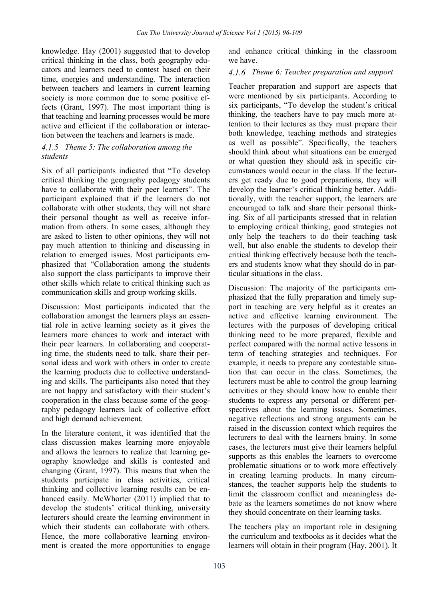knowledge. Hay (2001) suggested that to develop critical thinking in the class, both geography educators and learners need to contest based on their time, energies and understanding. The interaction between teachers and learners in current learning society is more common due to some positive effects (Grant, 1997). The most important thing is that teaching and learning processes would be more active and efficient if the collaboration or interaction between the teachers and learners is made.

#### *Theme 5: The collaboration among the students*

Six of all participants indicated that "To develop critical thinking the geography pedagogy students have to collaborate with their peer learners". The participant explained that if the learners do not collaborate with other students, they will not share their personal thought as well as receive information from others. In some cases, although they are asked to listen to other opinions, they will not pay much attention to thinking and discussing in relation to emerged issues. Most participants emphasized that "Collaboration among the students also support the class participants to improve their other skills which relate to critical thinking such as communication skills and group working skills.

Discussion: Most participants indicated that the collaboration amongst the learners plays an essential role in active learning society as it gives the learners more chances to work and interact with their peer learners. In collaborating and cooperating time, the students need to talk, share their personal ideas and work with others in order to create the learning products due to collective understanding and skills. The participants also noted that they are not happy and satisfactory with their student's cooperation in the class because some of the geography pedagogy learners lack of collective effort and high demand achievement.

In the literature content, it was identified that the class discussion makes learning more enjoyable and allows the learners to realize that learning geography knowledge and skills is contested and changing (Grant, 1997). This means that when the students participate in class activities, critical thinking and collective learning results can be enhanced easily. McWhorter (2011) implied that to develop the students' critical thinking, university lecturers should create the learning environment in which their students can collaborate with others. Hence, the more collaborative learning environment is created the more opportunities to engage

and enhance critical thinking in the classroom we have.

#### *Theme 6: Teacher preparation and support*

Teacher preparation and support are aspects that were mentioned by six participants. According to six participants, "To develop the student's critical thinking, the teachers have to pay much more attention to their lectures as they must prepare their both knowledge, teaching methods and strategies as well as possible". Specifically, the teachers should think about what situations can be emerged or what question they should ask in specific circumstances would occur in the class. If the lecturers get ready due to good preparations, they will develop the learner's critical thinking better. Additionally, with the teacher support, the learners are encouraged to talk and share their personal thinking. Six of all participants stressed that in relation to employing critical thinking, good strategies not only help the teachers to do their teaching task well, but also enable the students to develop their critical thinking effectively because both the teachers and students know what they should do in particular situations in the class.

Discussion: The majority of the participants emphasized that the fully preparation and timely support in teaching are very helpful as it creates an active and effective learning environment. The lectures with the purposes of developing critical thinking need to be more prepared, flexible and perfect compared with the normal active lessons in term of teaching strategies and techniques. For example, it needs to prepare any contestable situation that can occur in the class. Sometimes, the lecturers must be able to control the group learning activities or they should know how to enable their students to express any personal or different perspectives about the learning issues. Sometimes, negative reflections and strong arguments can be raised in the discussion context which requires the lecturers to deal with the learners brainy. In some cases, the lecturers must give their learners helpful supports as this enables the learners to overcome problematic situations or to work more effectively in creating learning products. In many circumstances, the teacher supports help the students to limit the classroom conflict and meaningless debate as the learners sometimes do not know where they should concentrate on their learning tasks.

The teachers play an important role in designing the curriculum and textbooks as it decides what the learners will obtain in their program (Hay, 2001). It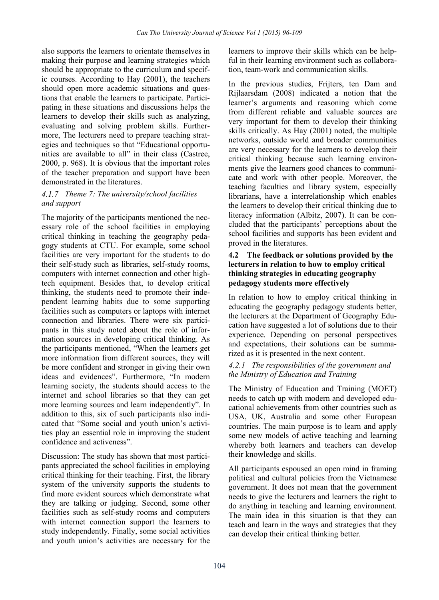also supports the learners to orientate themselves in making their purpose and learning strategies which should be appropriate to the curriculum and specific courses. According to Hay (2001), the teachers should open more academic situations and questions that enable the learners to participate. Participating in these situations and discussions helps the learners to develop their skills such as analyzing, evaluating and solving problem skills. Furthermore, The lecturers need to prepare teaching strategies and techniques so that "Educational opportunities are available to all" in their class (Castree, 2000, p. 968). It is obvious that the important roles of the teacher preparation and support have been demonstrated in the literatures.

#### *Theme 7: The university/school facilities and support*

The majority of the participants mentioned the necessary role of the school facilities in employing critical thinking in teaching the geography pedagogy students at CTU. For example, some school facilities are very important for the students to do their self-study such as libraries, self-study rooms, computers with internet connection and other hightech equipment. Besides that, to develop critical thinking, the students need to promote their independent learning habits due to some supporting facilities such as computers or laptops with internet connection and libraries. There were six participants in this study noted about the role of information sources in developing critical thinking. As the participants mentioned, "When the learners get more information from different sources, they will be more confident and stronger in giving their own ideas and evidences". Furthermore, "In modern learning society, the students should access to the internet and school libraries so that they can get more learning sources and learn independently". In addition to this, six of such participants also indicated that "Some social and youth union's activities play an essential role in improving the student confidence and activeness".

Discussion: The study has shown that most participants appreciated the school facilities in employing critical thinking for their teaching. First, the library system of the university supports the students to find more evident sources which demonstrate what they are talking or judging. Second, some other facilities such as self-study rooms and computers with internet connection support the learners to study independently. Finally, some social activities and youth union's activities are necessary for the

learners to improve their skills which can be helpful in their learning environment such as collaboration, team-work and communication skills.

In the previous studies, Frijters, ten Dam and Rijlaarsdam (2008) indicated a notion that the learner's arguments and reasoning which come from different reliable and valuable sources are very important for them to develop their thinking skills critically. As Hay (2001) noted, the multiple networks, outside world and broader communities are very necessary for the learners to develop their critical thinking because such learning environments give the learners good chances to communicate and work with other people. Moreover, the teaching faculties and library system, especially librarians, have a interrelationship which enables the learners to develop their critical thinking due to literacy information (Albitz, 2007). It can be concluded that the participants' perceptions about the school facilities and supports has been evident and proved in the literatures.

#### **4.2 The feedback or solutions provided by the lecturers in relation to how to employ critical thinking strategies in educating geography pedagogy students more effectively**

In relation to how to employ critical thinking in educating the geography pedagogy students better, the lecturers at the Department of Geography Education have suggested a lot of solutions due to their experience. Depending on personal perspectives and expectations, their solutions can be summarized as it is presented in the next content.

#### *The responsibilities of the government and the Ministry of Education and Training*

The Ministry of Education and Training (MOET) needs to catch up with modern and developed educational achievements from other countries such as USA, UK, Australia and some other European countries. The main purpose is to learn and apply some new models of active teaching and learning whereby both learners and teachers can develop their knowledge and skills.

All participants espoused an open mind in framing political and cultural policies from the Vietnamese government. It does not mean that the government needs to give the lecturers and learners the right to do anything in teaching and learning environment. The main idea in this situation is that they can teach and learn in the ways and strategies that they can develop their critical thinking better.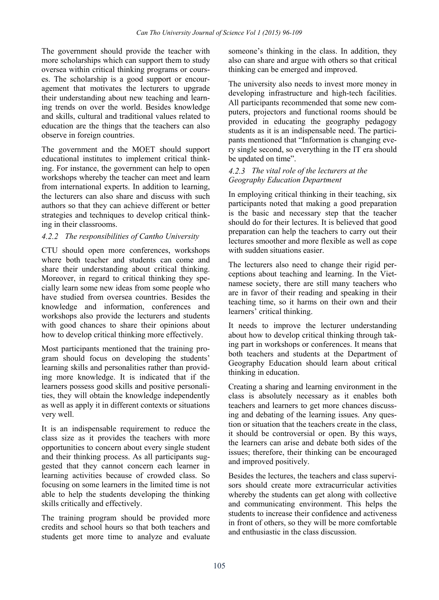The government should provide the teacher with more scholarships which can support them to study oversea within critical thinking programs or courses. The scholarship is a good support or encouragement that motivates the lecturers to upgrade their understanding about new teaching and learning trends on over the world. Besides knowledge and skills, cultural and traditional values related to education are the things that the teachers can also observe in foreign countries.

The government and the MOET should support educational institutes to implement critical thinking. For instance, the government can help to open workshops whereby the teacher can meet and learn from international experts. In addition to learning, the lecturers can also share and discuss with such authors so that they can achieve different or better strategies and techniques to develop critical thinking in their classrooms.

#### *The responsibilities of Cantho University*

CTU should open more conferences, workshops where both teacher and students can come and share their understanding about critical thinking. Moreover, in regard to critical thinking they specially learn some new ideas from some people who have studied from oversea countries. Besides the knowledge and information, conferences and workshops also provide the lecturers and students with good chances to share their opinions about how to develop critical thinking more effectively.

Most participants mentioned that the training program should focus on developing the students' learning skills and personalities rather than providing more knowledge. It is indicated that if the learners possess good skills and positive personalities, they will obtain the knowledge independently as well as apply it in different contexts or situations very well.

It is an indispensable requirement to reduce the class size as it provides the teachers with more opportunities to concern about every single student and their thinking process. As all participants suggested that they cannot concern each learner in learning activities because of crowded class. So focusing on some learners in the limited time is not able to help the students developing the thinking skills critically and effectively.

The training program should be provided more credits and school hours so that both teachers and students get more time to analyze and evaluate

someone's thinking in the class. In addition, they also can share and argue with others so that critical thinking can be emerged and improved.

The university also needs to invest more money in developing infrastructure and high-tech facilities. All participants recommended that some new computers, projectors and functional rooms should be provided in educating the geography pedagogy students as it is an indispensable need. The participants mentioned that "Information is changing every single second, so everything in the IT era should be updated on time".

#### *The vital role of the lecturers at the Geography Education Department*

In employing critical thinking in their teaching, six participants noted that making a good preparation is the basic and necessary step that the teacher should do for their lectures. It is believed that good preparation can help the teachers to carry out their lectures smoother and more flexible as well as cope with sudden situations easier.

The lecturers also need to change their rigid perceptions about teaching and learning. In the Vietnamese society, there are still many teachers who are in favor of their reading and speaking in their teaching time, so it harms on their own and their learners' critical thinking.

It needs to improve the lecturer understanding about how to develop critical thinking through taking part in workshops or conferences. It means that both teachers and students at the Department of Geography Education should learn about critical thinking in education.

Creating a sharing and learning environment in the class is absolutely necessary as it enables both teachers and learners to get more chances discussing and debating of the learning issues. Any question or situation that the teachers create in the class, it should be controversial or open. By this ways, the learners can arise and debate both sides of the issues; therefore, their thinking can be encouraged and improved positively.

Besides the lectures, the teachers and class supervisors should create more extracurricular activities whereby the students can get along with collective and communicating environment. This helps the students to increase their confidence and activeness in front of others, so they will be more comfortable and enthusiastic in the class discussion.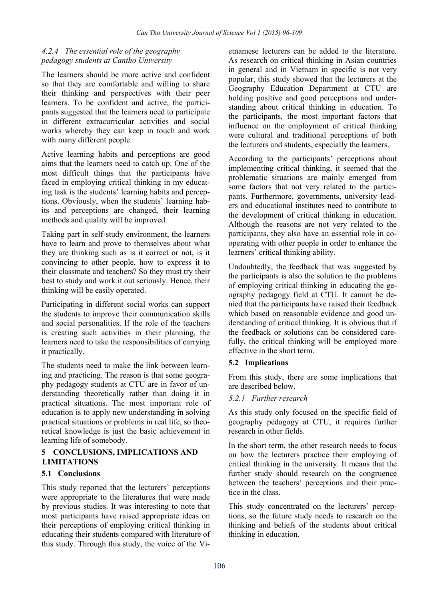# *The essential role of the geography pedagogy students at Cantho University*

The learners should be more active and confident so that they are comfortable and willing to share their thinking and perspectives with their peer learners. To be confident and active, the participants suggested that the learners need to participate in different extracurricular activities and social works whereby they can keep in touch and work with many different people.

Active learning habits and perceptions are good aims that the learners need to catch up. One of the most difficult things that the participants have faced in employing critical thinking in my educating task is the students' learning habits and perceptions. Obviously, when the students' learning habits and perceptions are changed, their learning methods and quality will be improved.

Taking part in self-study environment, the learners have to learn and prove to themselves about what they are thinking such as is it correct or not, is it convincing to other people, how to express it to their classmate and teachers? So they must try their best to study and work it out seriously. Hence, their thinking will be easily operated.

Participating in different social works can support the students to improve their communication skills and social personalities. If the role of the teachers is creating such activities in their planning, the learners need to take the responsibilities of carrying it practically.

The students need to make the link between learning and practicing. The reason is that some geography pedagogy students at CTU are in favor of understanding theoretically rather than doing it in practical situations. The most important role of education is to apply new understanding in solving practical situations or problems in real life, so theoretical knowledge is just the basic achievement in learning life of somebody.

# **5 CONCLUSIONS, IMPLICATIONS AND LIMITATIONS**

# **5.1 Conclusions**

This study reported that the lecturers' perceptions were appropriate to the literatures that were made by previous studies. It was interesting to note that most participants have raised appropriate ideas on their perceptions of employing critical thinking in educating their students compared with literature of this study. Through this study, the voice of the Vietnamese lecturers can be added to the literature. As research on critical thinking in Asian countries in general and in Vietnam in specific is not very popular, this study showed that the lecturers at the Geography Education Department at CTU are holding positive and good perceptions and understanding about critical thinking in education. To the participants, the most important factors that influence on the employment of critical thinking were cultural and traditional perceptions of both the lecturers and students, especially the learners.

According to the participants' perceptions about implementing critical thinking, it seemed that the problematic situations are mainly emerged from some factors that not very related to the participants. Furthermore, governments, university leaders and educational institutes need to contribute to the development of critical thinking in education. Although the reasons are not very related to the participants, they also have an essential role in cooperating with other people in order to enhance the learners' critical thinking ability.

Undoubtedly, the feedback that was suggested by the participants is also the solution to the problems of employing critical thinking in educating the geography pedagogy field at CTU. It cannot be denied that the participants have raised their feedback which based on reasonable evidence and good understanding of critical thinking. It is obvious that if the feedback or solutions can be considered carefully, the critical thinking will be employed more effective in the short term.

#### **5.2 Implications**

From this study, there are some implications that are described below.

#### *Further research*

As this study only focused on the specific field of geography pedagogy at CTU, it requires further research in other fields.

In the short term, the other research needs to focus on how the lecturers practice their employing of critical thinking in the university. It means that the further study should research on the congruence between the teachers' perceptions and their practice in the class.

This study concentrated on the lecturers' perceptions, so the future study needs to research on the thinking and beliefs of the students about critical thinking in education.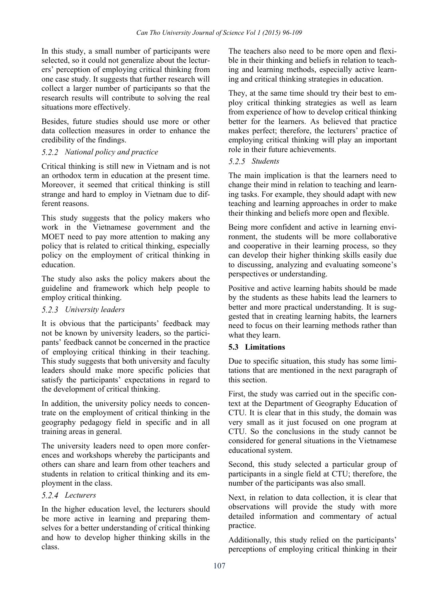In this study, a small number of participants were selected, so it could not generalize about the lecturers' perception of employing critical thinking from one case study. It suggests that further research will collect a larger number of participants so that the research results will contribute to solving the real situations more effectively.

Besides, future studies should use more or other data collection measures in order to enhance the credibility of the findings.

# *National policy and practice*

Critical thinking is still new in Vietnam and is not an orthodox term in education at the present time. Moreover, it seemed that critical thinking is still strange and hard to employ in Vietnam due to different reasons.

This study suggests that the policy makers who work in the Vietnamese government and the MOET need to pay more attention to making any policy that is related to critical thinking, especially policy on the employment of critical thinking in education.

The study also asks the policy makers about the guideline and framework which help people to employ critical thinking.

# *University leaders*

It is obvious that the participants' feedback may not be known by university leaders, so the participants' feedback cannot be concerned in the practice of employing critical thinking in their teaching. This study suggests that both university and faculty leaders should make more specific policies that satisfy the participants' expectations in regard to the development of critical thinking.

In addition, the university policy needs to concentrate on the employment of critical thinking in the geography pedagogy field in specific and in all training areas in general.

The university leaders need to open more conferences and workshops whereby the participants and others can share and learn from other teachers and students in relation to critical thinking and its employment in the class.

#### *Lecturers*

In the higher education level, the lecturers should be more active in learning and preparing themselves for a better understanding of critical thinking and how to develop higher thinking skills in the class.

The teachers also need to be more open and flexible in their thinking and beliefs in relation to teaching and learning methods, especially active learning and critical thinking strategies in education.

They, at the same time should try their best to employ critical thinking strategies as well as learn from experience of how to develop critical thinking better for the learners. As believed that practice makes perfect; therefore, the lecturers' practice of employing critical thinking will play an important role in their future achievements.

# *Students*

The main implication is that the learners need to change their mind in relation to teaching and learning tasks. For example, they should adapt with new teaching and learning approaches in order to make their thinking and beliefs more open and flexible.

Being more confident and active in learning environment, the students will be more collaborative and cooperative in their learning process, so they can develop their higher thinking skills easily due to discussing, analyzing and evaluating someone's perspectives or understanding.

Positive and active learning habits should be made by the students as these habits lead the learners to better and more practical understanding. It is suggested that in creating learning habits, the learners need to focus on their learning methods rather than what they learn.

# **5.3 Limitations**

Due to specific situation, this study has some limitations that are mentioned in the next paragraph of this section.

First, the study was carried out in the specific context at the Department of Geography Education of CTU. It is clear that in this study, the domain was very small as it just focused on one program at CTU. So the conclusions in the study cannot be considered for general situations in the Vietnamese educational system.

Second, this study selected a particular group of participants in a single field at CTU; therefore, the number of the participants was also small.

Next, in relation to data collection, it is clear that observations will provide the study with more detailed information and commentary of actual practice.

Additionally, this study relied on the participants' perceptions of employing critical thinking in their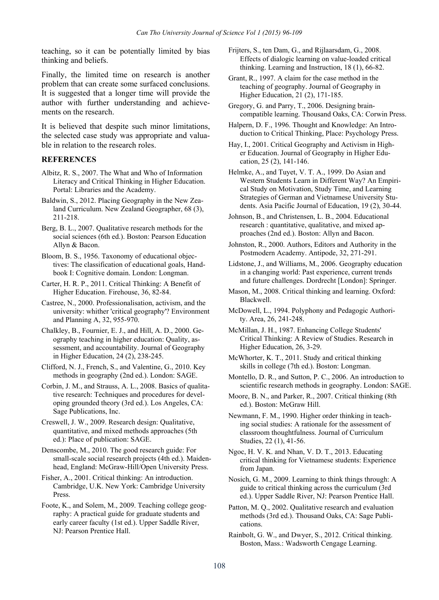teaching, so it can be potentially limited by bias thinking and beliefs.

Finally, the limited time on research is another problem that can create some surfaced conclusions. It is suggested that a longer time will provide the author with further understanding and achievements on the research.

It is believed that despite such minor limitations, the selected case study was appropriate and valuable in relation to the research roles.

#### **REFERENCES**

- Albitz, R. S., 2007. The What and Who of Information Literacy and Critical Thinking in Higher Education. Portal: Libraries and the Academy.
- Baldwin, S., 2012. Placing Geography in the New Zealand Curriculum. New Zealand Geographer, 68 (3), 211-218.
- Berg, B. L., 2007. Qualitative research methods for the social sciences (6th ed.). Boston: Pearson Education Allyn & Bacon.

Bloom, B. S., 1956. Taxonomy of educational objectives: The classification of educational goals, Handbook I: Cognitive domain. London: Longman.

- Carter, H. R. P., 2011. Critical Thinking: A Benefit of Higher Education. Firehouse, 36, 82-84.
- Castree, N., 2000. Professionalisation, activism, and the university: whither 'critical geography'? Environment and Planning A, 32, 955-970.
- Chalkley, B., Fournier, E. J., and Hill, A. D., 2000. Geography teaching in higher education: Quality, assessment, and accountability. Journal of Geography in Higher Education, 24 (2), 238-245.
- Clifford, N. J., French, S., and Valentine, G., 2010. Key methods in geography (2nd ed.). London: SAGE.

Corbin, J. M., and Strauss, A. L., 2008. Basics of qualitative research: Techniques and procedures for developing grounded theory (3rd ed.). Los Angeles, CA: Sage Publications, Inc.

Creswell, J. W., 2009. Research design: Qualitative, quantitative, and mixed methods approaches (5th ed.): Place of publication: SAGE.

Denscombe, M., 2010. The good research guide: For small-scale social research projects (4th ed.). Maidenhead, England: McGraw-Hill/Open University Press.

Fisher, A., 2001. Critical thinking: An introduction. Cambridge, U.K. New York: Cambridge University Press.

Foote, K., and Solem, M., 2009. Teaching college geography: A practical guide for graduate students and early career faculty (1st ed.). Upper Saddle River, NJ: Pearson Prentice Hall.

- Frijters, S., ten Dam, G., and Rijlaarsdam, G., 2008. Effects of dialogic learning on value-loaded critical thinking. Learning and Instruction, 18 (1), 66-82.
- Grant, R., 1997. A claim for the case method in the teaching of geography. Journal of Geography in Higher Education, 21 (2), 171-185.
- Gregory, G. and Parry, T., 2006. Designing braincompatible learning. Thousand Oaks, CA: Corwin Press.
- Halpern, D. F., 1996. Thought and Knowledge: An Introduction to Critical Thinking, Place: Psychology Press.

Hay, I., 2001. Critical Geography and Activism in Higher Education. Journal of Geography in Higher Education, 25 (2), 141-146.

Helmke, A., and Tuyet, V. T. A., 1999. Do Asian and Western Students Learn in Different Way? An Empirical Study on Motivation, Study Time, and Learning Strategies of German and Vietnamese University Students. Asia Pacific Journal of Education, 19 (2), 30-44.

Johnson, B., and Christensen, L. B., 2004. Educational research : quantitative, qualitative, and mixed approaches (2nd ed.). Boston: Allyn and Bacon.

Johnston, R., 2000. Authors, Editors and Authority in the Postmodern Academy. Antipode, 32, 271-291.

Lidstone, J., and Williams, M., 2006. Geography education in a changing world: Past experience, current trends and future challenges. Dordrecht [London]: Springer.

- Mason, M., 2008. Critical thinking and learning. Oxford: Blackwell.
- McDowell, L., 1994. Polyphony and Pedagogic Authority. Area, 26, 241-248.

McMillan, J. H., 1987. Enhancing College Students' Critical Thinking: A Review of Studies. Research in Higher Education, 26, 3-29.

- McWhorter, K. T., 2011. Study and critical thinking skills in college (7th ed.). Boston: Longman.
- Montello, D. R., and Sutton, P. C., 2006. An introduction to scientific research methods in geography. London: SAGE.
- Moore, B. N., and Parker, R., 2007. Critical thinking (8th ed.). Boston: McGraw Hill.

Newmann, F. M., 1990. Higher order thinking in teaching social studies: A rationale for the assessment of classroom thoughtfulness. Journal of Curriculum Studies, 22 (1), 41-56.

Ngoc, H. V. K. and Nhan, V. D. T., 2013. Educating critical thinking for Vietnamese students: Experience from Japan.

Nosich, G. M., 2009. Learning to think things through: A guide to critical thinking across the curriculum (3rd ed.). Upper Saddle River, NJ: Pearson Prentice Hall.

Patton, M. Q., 2002. Qualitative research and evaluation methods (3rd ed.). Thousand Oaks, CA: Sage Publications.

Rainbolt, G. W., and Dwyer, S., 2012. Critical thinking. Boston, Mass.: Wadsworth Cengage Learning.